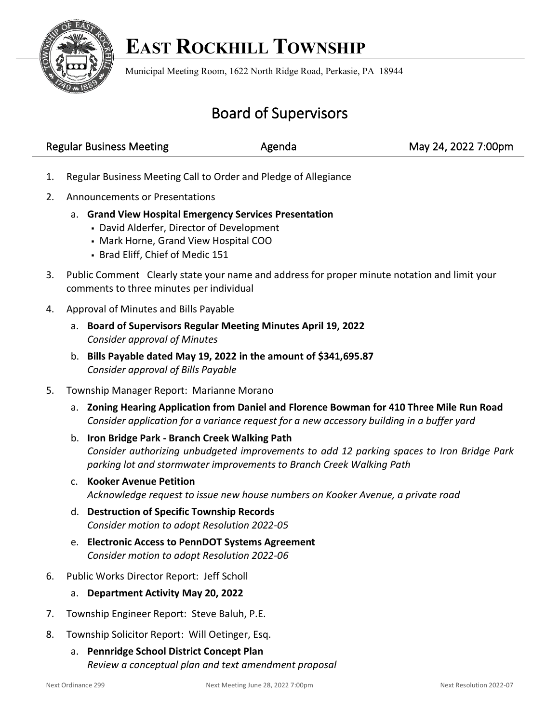

## **EAST ROCKHILL TOWNSHIP**

Municipal Meeting Room, 1622 North Ridge Road, Perkasie, PA 18944

## Board of Supervisors

| <b>Regular Business Meeting</b> | Agenda | May 24, 2022 7:00pm |
|---------------------------------|--------|---------------------|
|                                 |        |                     |

- 1. Regular Business Meeting Call to Order and Pledge of Allegiance
- 2. Announcements or Presentations
	- a. **Grand View Hospital Emergency Services Presentation** 
		- David Alderfer, Director of Development
		- Mark Horne, Grand View Hospital COO
		- Brad Eliff, Chief of Medic 151
- 3. Public Comment Clearly state your name and address for proper minute notation and limit your comments to three minutes per individual
- 4. Approval of Minutes and Bills Payable
	- a. **Board of Supervisors Regular Meeting Minutes April 19, 2022** *Consider approval of Minutes*
	- b. **Bills Payable dated May 19, 2022 in the amount of \$341,695.87** *Consider approval of Bills Payable*
- 5. Township Manager Report: Marianne Morano
	- a. **Zoning Hearing Application from Daniel and Florence Bowman for 410 Three Mile Run Road** *Consider application for a variance request for a new accessory building in a buffer yard*
	- b. **Iron Bridge Park - Branch Creek Walking Path** *Consider authorizing unbudgeted improvements to add 12 parking spaces to Iron Bridge Park parking lot and stormwater improvements to Branch Creek Walking Path*
	- c. **Kooker Avenue Petition** *Acknowledge request to issue new house numbers on Kooker Avenue, a private road*
	- d. **Destruction of Specific Township Records** *Consider motion to adopt Resolution 2022-05*
	- e. **Electronic Access to PennDOT Systems Agreement** *Consider motion to adopt Resolution 2022-06*
- 6. Public Works Director Report: Jeff Scholl
	- a. **Department Activity May 20, 2022**
- 7. Township Engineer Report: Steve Baluh, P.E.
- 8. Township Solicitor Report: Will Oetinger, Esq.
	- a. **Pennridge School District Concept Plan** *Review a conceptual plan and text amendment proposal*